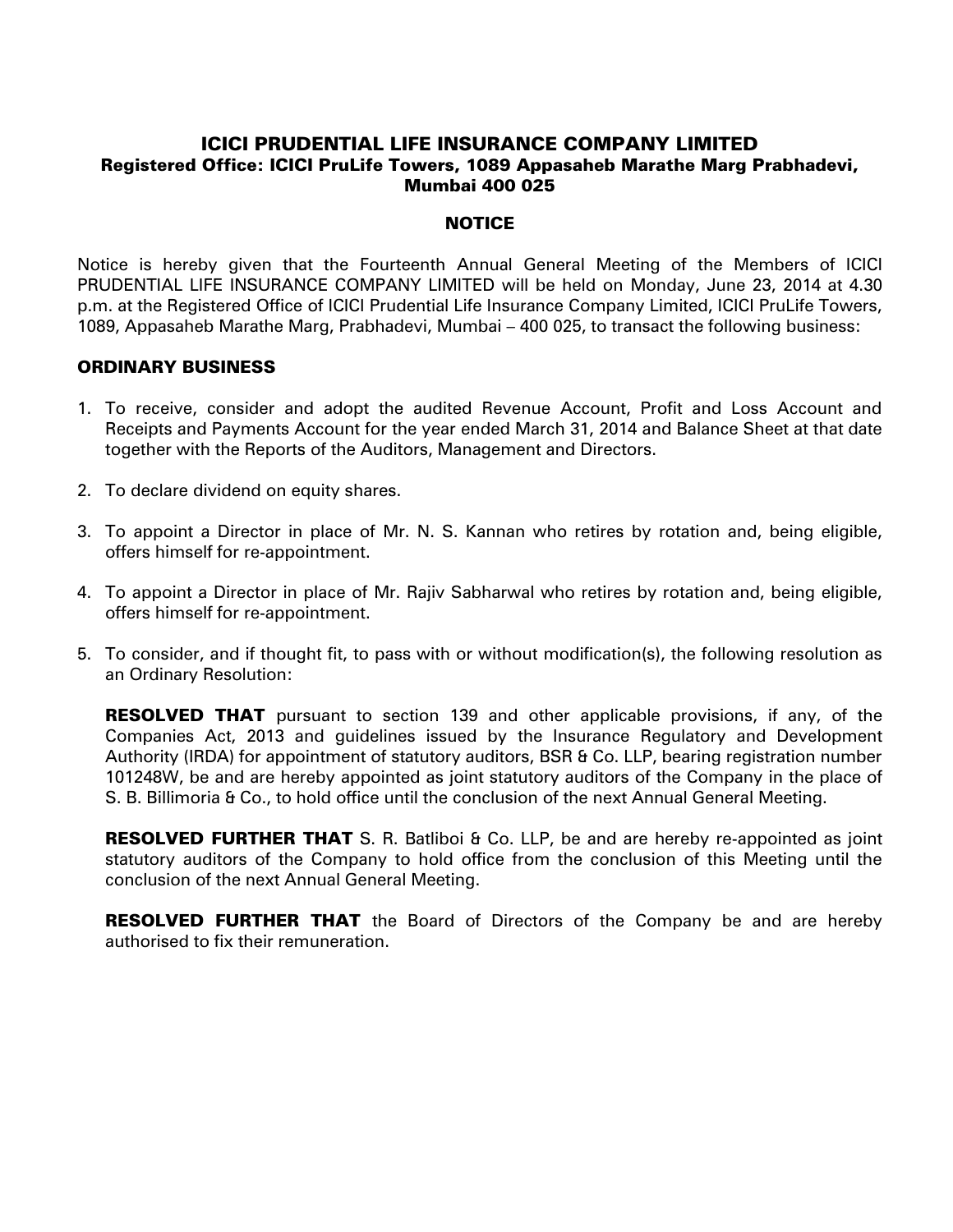# ICICI PRUDENTIAL LIFE INSURANCE COMPANY LIMITED Registered Office: ICICI PruLife Towers, 1089 Appasaheb Marathe Marg Prabhadevi, Mumbai 400 025

### **NOTICE**

Notice is hereby given that the Fourteenth Annual General Meeting of the Members of ICICI PRUDENTIAL LIFE INSURANCE COMPANY LIMITED will be held on Monday, June 23, 2014 at 4.30 p.m. at the Registered Office of ICICI Prudential Life Insurance Company Limited, ICICI PruLife Towers, 1089, Appasaheb Marathe Marg, Prabhadevi, Mumbai – 400 025, to transact the following business:

### ORDINARY BUSINESS

- 1. To receive, consider and adopt the audited Revenue Account, Profit and Loss Account and Receipts and Payments Account for the year ended March 31, 2014 and Balance Sheet at that date together with the Reports of the Auditors, Management and Directors.
- 2. To declare dividend on equity shares.
- 3. To appoint a Director in place of Mr. N. S. Kannan who retires by rotation and, being eligible, offers himself for re-appointment.
- 4. To appoint a Director in place of Mr. Rajiv Sabharwal who retires by rotation and, being eligible, offers himself for re-appointment.
- 5. To consider, and if thought fit, to pass with or without modification(s), the following resolution as an Ordinary Resolution:

**RESOLVED THAT** pursuant to section 139 and other applicable provisions, if any, of the Companies Act, 2013 and guidelines issued by the Insurance Regulatory and Development Authority (IRDA) for appointment of statutory auditors, BSR & Co. LLP, bearing registration number 101248W, be and are hereby appointed as joint statutory auditors of the Company in the place of S. B. Billimoria & Co., to hold office until the conclusion of the next Annual General Meeting.

RESOLVED FURTHER THAT S. R. Batliboi & Co. LLP, be and are hereby re-appointed as joint statutory auditors of the Company to hold office from the conclusion of this Meeting until the conclusion of the next Annual General Meeting.

**RESOLVED FURTHER THAT** the Board of Directors of the Company be and are hereby authorised to fix their remuneration.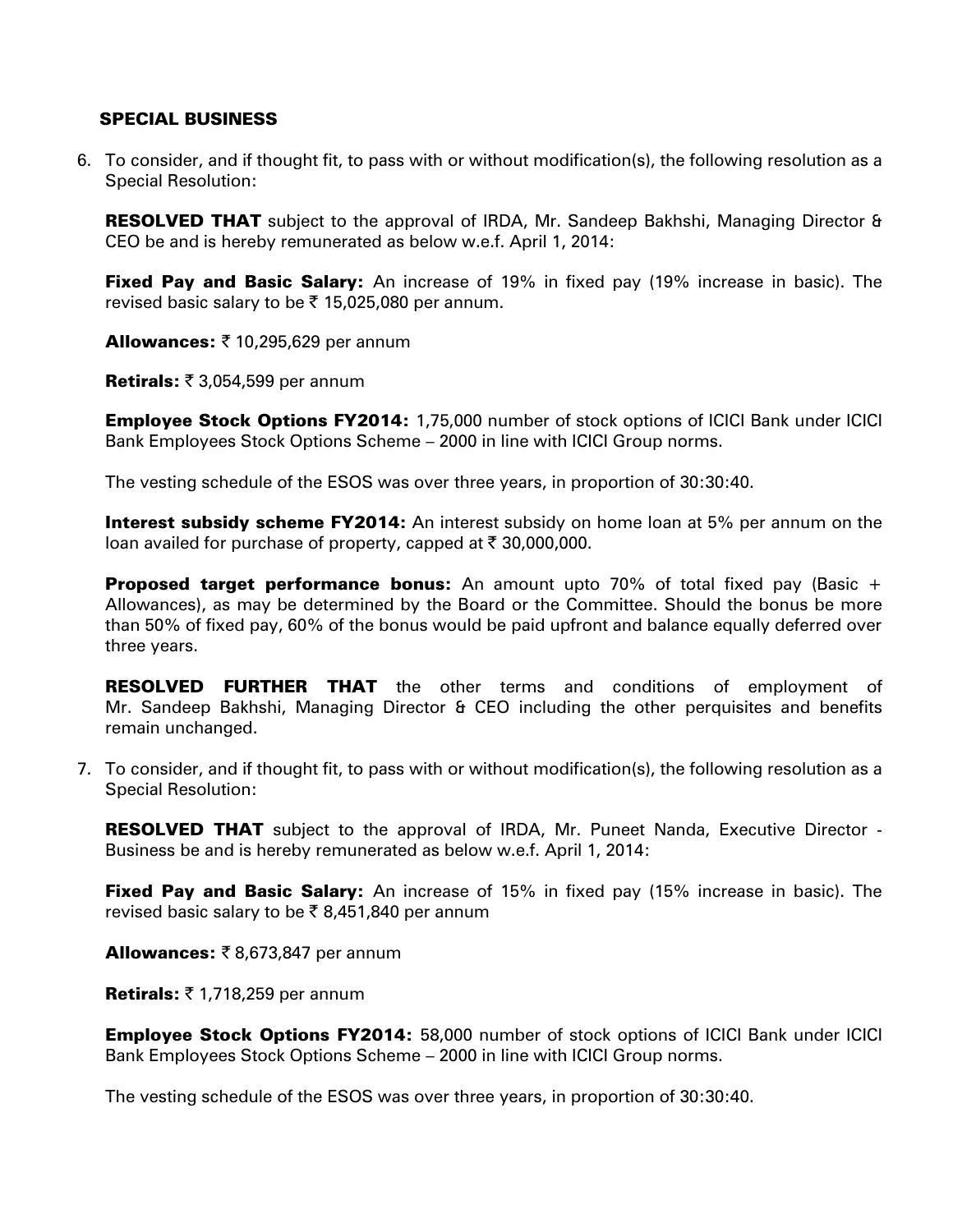# SPECIAL BUSINESS

6. To consider, and if thought fit, to pass with or without modification(s), the following resolution as a Special Resolution:

**RESOLVED THAT** subject to the approval of IRDA, Mr. Sandeep Bakhshi, Managing Director & CEO be and is hereby remunerated as below w.e.f. April 1, 2014:

Fixed Pay and Basic Salary: An increase of 19% in fixed pay (19% increase in basic). The revised basic salary to be  $\bar{\tau}$  15,025,080 per annum.

Allowances:  $\bar{\tau}$  10,295,629 per annum

Retirals:  $\bar{\tau}$  3,054,599 per annum

Employee Stock Options FY2014: 1,75,000 number of stock options of ICICI Bank under ICICI Bank Employees Stock Options Scheme – 2000 in line with ICICI Group norms.

The vesting schedule of the ESOS was over three years, in proportion of 30:30:40.

**Interest subsidy scheme FY2014:** An interest subsidy on home loan at 5% per annum on the loan availed for purchase of property, capped at  $\bar{\tau}$  30,000,000.

**Proposed target performance bonus:** An amount upto 70% of total fixed pay (Basic  $+$ Allowances), as may be determined by the Board or the Committee. Should the bonus be more than 50% of fixed pay, 60% of the bonus would be paid upfront and balance equally deferred over three years.

**RESOLVED FURTHER THAT** the other terms and conditions of employment of Mr. Sandeep Bakhshi, Managing Director & CEO including the other perquisites and benefits remain unchanged.

7. To consider, and if thought fit, to pass with or without modification(s), the following resolution as a Special Resolution:

RESOLVED THAT subject to the approval of IRDA, Mr. Puneet Nanda, Executive Director -Business be and is hereby remunerated as below w.e.f. April 1, 2014:

**Fixed Pay and Basic Salary:** An increase of 15% in fixed pay (15% increase in basic). The revised basic salary to be  $\bar{\tau}$  8,451,840 per annum

**Allowances:**  $\bar{\mathbf{z}}$  8,673,847 per annum

Retirals:  $\bar{z}$  1,718,259 per annum

**Employee Stock Options FY2014:** 58,000 number of stock options of ICICI Bank under ICICI Bank Employees Stock Options Scheme – 2000 in line with ICICI Group norms.

The vesting schedule of the ESOS was over three years, in proportion of 30:30:40.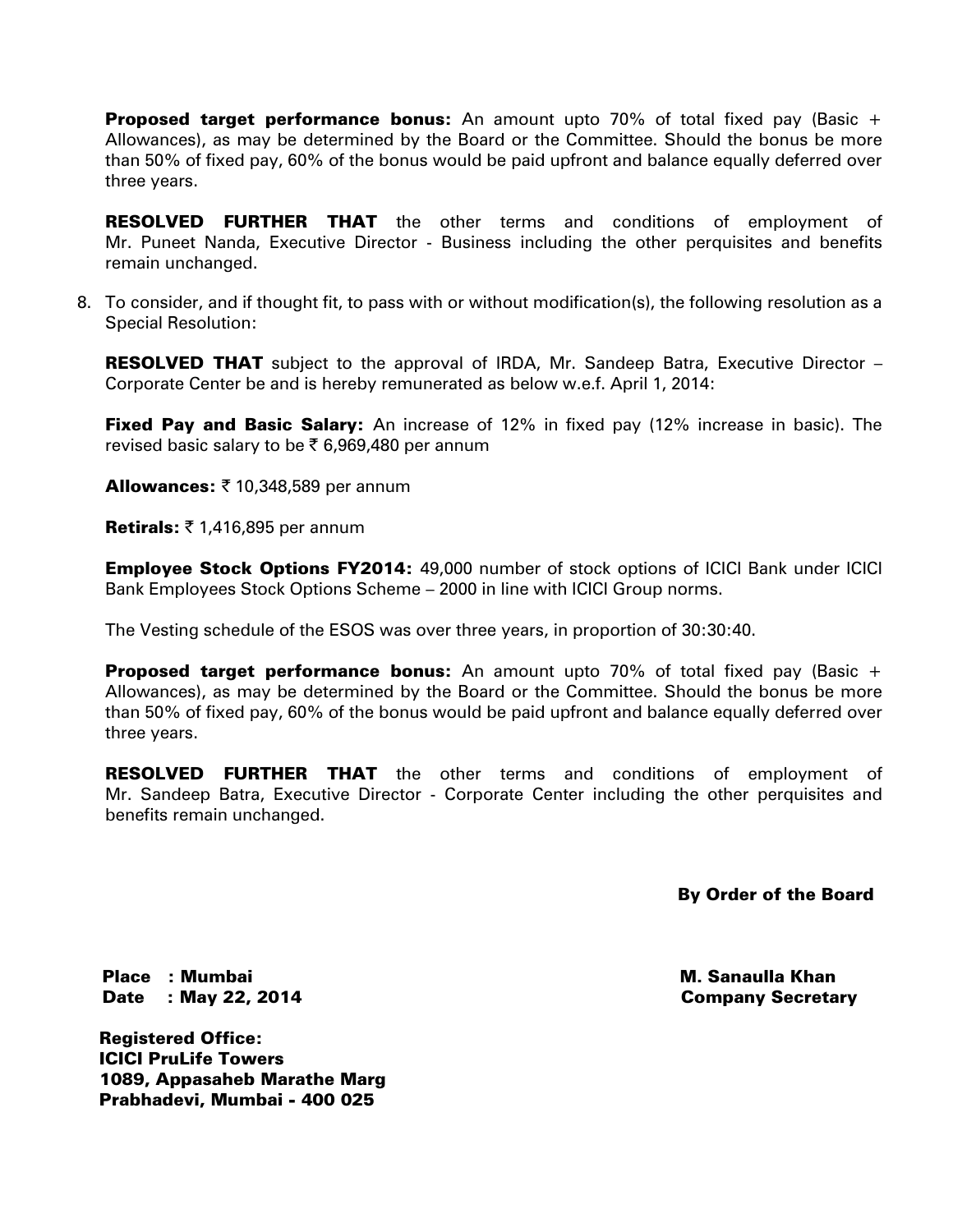**Proposed target performance bonus:** An amount upto 70% of total fixed pay (Basic  $+$ Allowances), as may be determined by the Board or the Committee. Should the bonus be more than 50% of fixed pay, 60% of the bonus would be paid upfront and balance equally deferred over three years.

RESOLVED FURTHER THAT the other terms and conditions of employment of Mr. Puneet Nanda, Executive Director - Business including the other perquisites and benefits remain unchanged.

8. To consider, and if thought fit, to pass with or without modification(s), the following resolution as a Special Resolution:

**RESOLVED THAT** subject to the approval of IRDA, Mr. Sandeep Batra, Executive Director – Corporate Center be and is hereby remunerated as below w.e.f. April 1, 2014:

**Fixed Pay and Basic Salary:** An increase of 12% in fixed pay (12% increase in basic). The revised basic salary to be  $\bar{\tau}$  6,969,480 per annum

Allowances:  $\bar{\tau}$  10,348,589 per annum

**Retirals:**  $\bar{\tau}$  1,416,895 per annum

**Employee Stock Options FY2014: 49,000 number of stock options of ICICI Bank under ICICI** Bank Employees Stock Options Scheme – 2000 in line with ICICI Group norms.

The Vesting schedule of the ESOS was over three years, in proportion of 30:30:40.

**Proposed target performance bonus:** An amount upto 70% of total fixed pay (Basic  $+$ Allowances), as may be determined by the Board or the Committee. Should the bonus be more than 50% of fixed pay, 60% of the bonus would be paid upfront and balance equally deferred over three years.

RESOLVED FURTHER THAT the other terms and conditions of employment of Mr. Sandeep Batra, Executive Director - Corporate Center including the other perquisites and benefits remain unchanged.

By Order of the Board

Place : Mumbai Date : May 22, 2014

Registered Office: ICICI PruLife Towers 1089, Appasaheb Marathe Marg Prabhadevi, Mumbai - 400 025

 M. Sanaulla Khan Company Secretary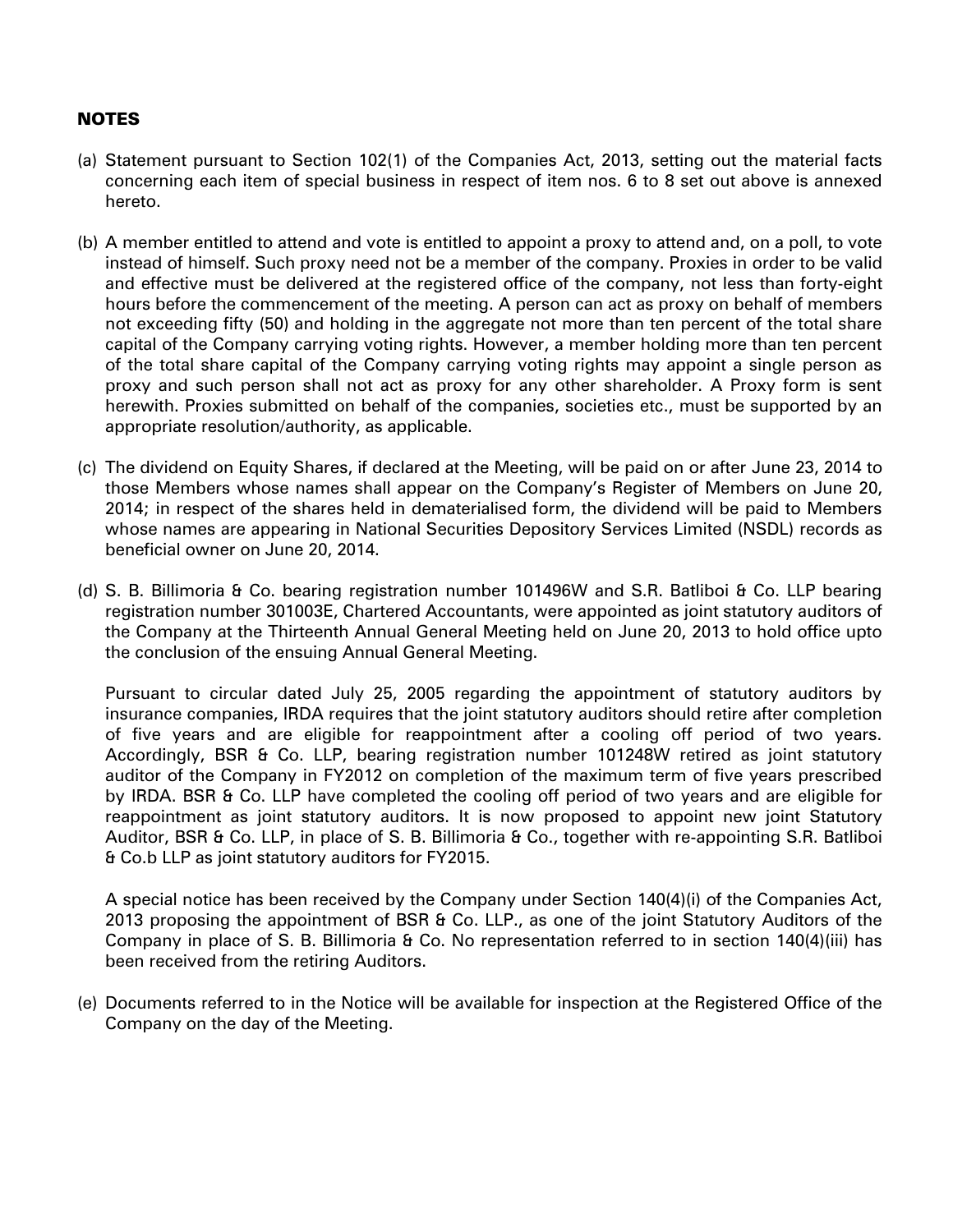# **NOTES**

- (a) Statement pursuant to Section 102(1) of the Companies Act, 2013, setting out the material facts concerning each item of special business in respect of item nos. 6 to 8 set out above is annexed hereto.
- (b) A member entitled to attend and vote is entitled to appoint a proxy to attend and, on a poll, to vote instead of himself. Such proxy need not be a member of the company. Proxies in order to be valid and effective must be delivered at the registered office of the company, not less than forty-eight hours before the commencement of the meeting. A person can act as proxy on behalf of members not exceeding fifty (50) and holding in the aggregate not more than ten percent of the total share capital of the Company carrying voting rights. However, a member holding more than ten percent of the total share capital of the Company carrying voting rights may appoint a single person as proxy and such person shall not act as proxy for any other shareholder. A Proxy form is sent herewith. Proxies submitted on behalf of the companies, societies etc., must be supported by an appropriate resolution/authority, as applicable.
- (c) The dividend on Equity Shares, if declared at the Meeting, will be paid on or after June 23, 2014 to those Members whose names shall appear on the Company's Register of Members on June 20, 2014; in respect of the shares held in dematerialised form, the dividend will be paid to Members whose names are appearing in National Securities Depository Services Limited (NSDL) records as beneficial owner on June 20, 2014.
- (d) S. B. Billimoria & Co. bearing registration number 101496W and S.R. Batliboi & Co. LLP bearing registration number 301003E, Chartered Accountants, were appointed as joint statutory auditors of the Company at the Thirteenth Annual General Meeting held on June 20, 2013 to hold office upto the conclusion of the ensuing Annual General Meeting.

Pursuant to circular dated July 25, 2005 regarding the appointment of statutory auditors by insurance companies, IRDA requires that the joint statutory auditors should retire after completion of five years and are eligible for reappointment after a cooling off period of two years. Accordingly, BSR & Co. LLP, bearing registration number 101248W retired as joint statutory auditor of the Company in FY2012 on completion of the maximum term of five years prescribed by IRDA. BSR & Co. LLP have completed the cooling off period of two years and are eligible for reappointment as joint statutory auditors. It is now proposed to appoint new joint Statutory Auditor, BSR & Co. LLP, in place of S. B. Billimoria & Co., together with re-appointing S.R. Batliboi & Co.b LLP as joint statutory auditors for FY2015.

A special notice has been received by the Company under Section 140(4)(i) of the Companies Act, 2013 proposing the appointment of BSR & Co. LLP., as one of the joint Statutory Auditors of the Company in place of S. B. Billimoria & Co. No representation referred to in section 140(4)(iii) has been received from the retiring Auditors.

(e) Documents referred to in the Notice will be available for inspection at the Registered Office of the Company on the day of the Meeting.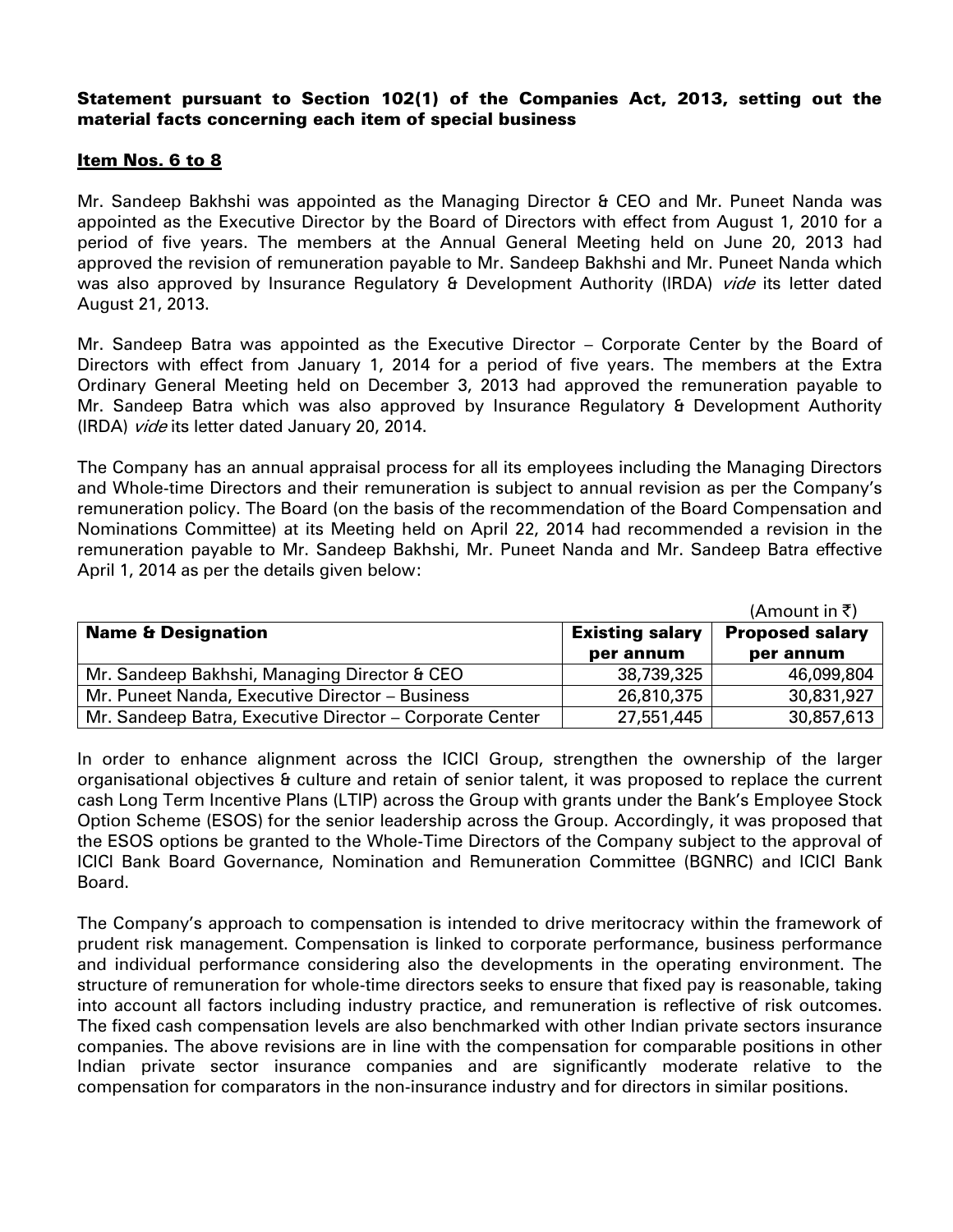# Statement pursuant to Section 102(1) of the Companies Act, 2013, setting out the material facts concerning each item of special business

## Item Nos. 6 to 8

Mr. Sandeep Bakhshi was appointed as the Managing Director & CEO and Mr. Puneet Nanda was appointed as the Executive Director by the Board of Directors with effect from August 1, 2010 for a period of five years. The members at the Annual General Meeting held on June 20, 2013 had approved the revision of remuneration payable to Mr. Sandeep Bakhshi and Mr. Puneet Nanda which was also approved by Insurance Regulatory & Development Authority (IRDA) *vide* its letter dated August 21, 2013.

Mr. Sandeep Batra was appointed as the Executive Director – Corporate Center by the Board of Directors with effect from January 1, 2014 for a period of five years. The members at the Extra Ordinary General Meeting held on December 3, 2013 had approved the remuneration payable to Mr. Sandeep Batra which was also approved by Insurance Regulatory & Development Authority (IRDA) vide its letter dated January 20, 2014.

The Company has an annual appraisal process for all its employees including the Managing Directors and Whole-time Directors and their remuneration is subject to annual revision as per the Company's remuneration policy. The Board (on the basis of the recommendation of the Board Compensation and Nominations Committee) at its Meeting held on April 22, 2014 had recommended a revision in the remuneration payable to Mr. Sandeep Bakhshi, Mr. Puneet Nanda and Mr. Sandeep Batra effective April 1, 2014 as per the details given below:

|                                                          |                        | (Amount in ₹)          |
|----------------------------------------------------------|------------------------|------------------------|
| <b>Name &amp; Designation</b>                            | <b>Existing salary</b> | <b>Proposed salary</b> |
|                                                          | per annum              | per annum              |
| Mr. Sandeep Bakhshi, Managing Director & CEO             | 38,739,325             | 46,099,804             |
| Mr. Puneet Nanda, Executive Director - Business          | 26,810,375             | 30,831,927             |
| Mr. Sandeep Batra, Executive Director – Corporate Center | 27,551,445             | 30,857,613             |

In order to enhance alignment across the ICICI Group, strengthen the ownership of the larger organisational objectives & culture and retain of senior talent, it was proposed to replace the current cash Long Term Incentive Plans (LTIP) across the Group with grants under the Bank's Employee Stock Option Scheme (ESOS) for the senior leadership across the Group. Accordingly, it was proposed that the ESOS options be granted to the Whole-Time Directors of the Company subject to the approval of ICICI Bank Board Governance, Nomination and Remuneration Committee (BGNRC) and ICICI Bank Board.

The Company's approach to compensation is intended to drive meritocracy within the framework of prudent risk management. Compensation is linked to corporate performance, business performance and individual performance considering also the developments in the operating environment. The structure of remuneration for whole-time directors seeks to ensure that fixed pay is reasonable, taking into account all factors including industry practice, and remuneration is reflective of risk outcomes. The fixed cash compensation levels are also benchmarked with other Indian private sectors insurance companies. The above revisions are in line with the compensation for comparable positions in other Indian private sector insurance companies and are significantly moderate relative to the compensation for comparators in the non-insurance industry and for directors in similar positions.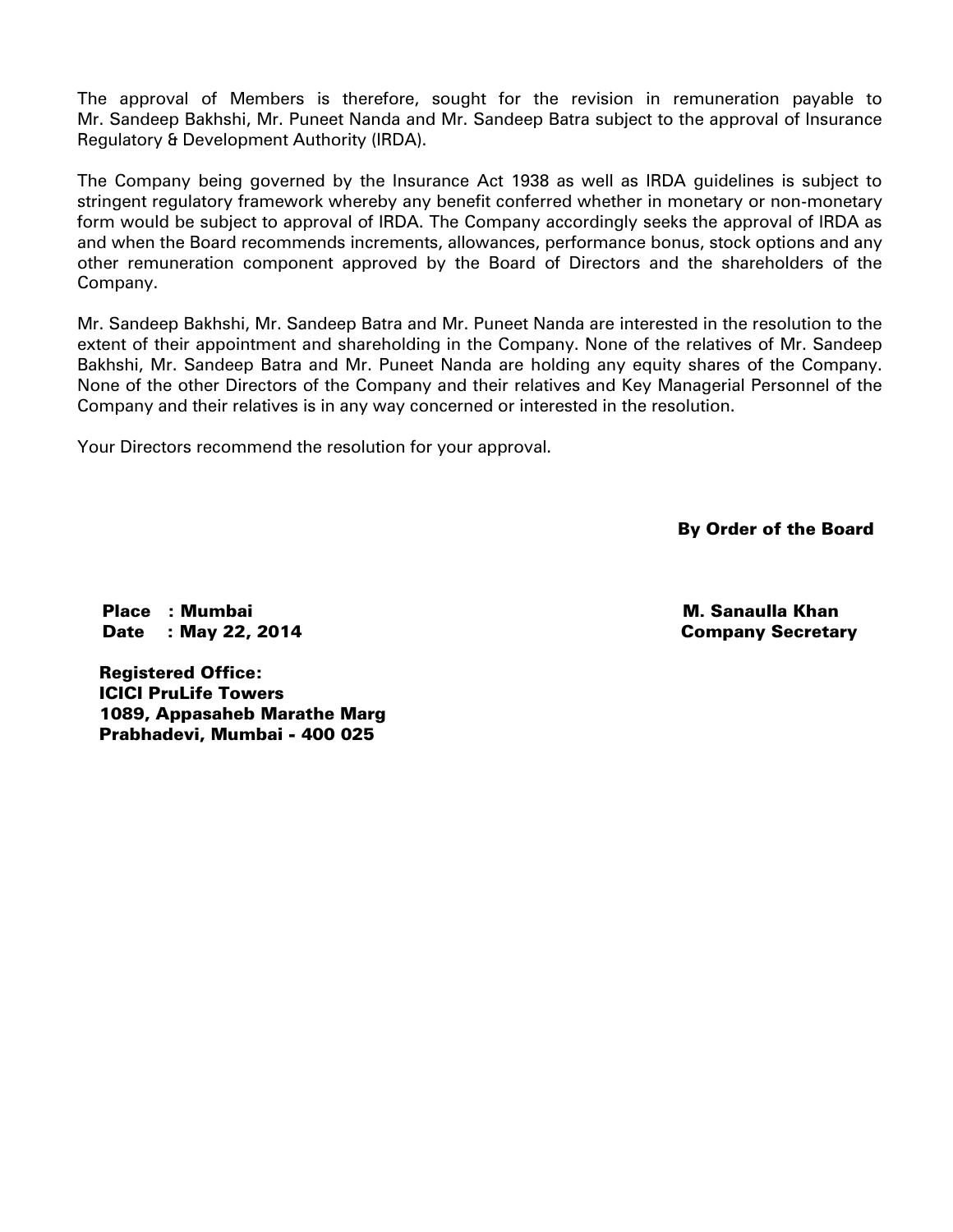The approval of Members is therefore, sought for the revision in remuneration payable to Mr. Sandeep Bakhshi, Mr. Puneet Nanda and Mr. Sandeep Batra subject to the approval of Insurance Regulatory & Development Authority (IRDA).

The Company being governed by the Insurance Act 1938 as well as IRDA guidelines is subject to stringent regulatory framework whereby any benefit conferred whether in monetary or non-monetary form would be subject to approval of IRDA. The Company accordingly seeks the approval of IRDA as and when the Board recommends increments, allowances, performance bonus, stock options and any other remuneration component approved by the Board of Directors and the shareholders of the Company.

Mr. Sandeep Bakhshi, Mr. Sandeep Batra and Mr. Puneet Nanda are interested in the resolution to the extent of their appointment and shareholding in the Company. None of the relatives of Mr. Sandeep Bakhshi, Mr. Sandeep Batra and Mr. Puneet Nanda are holding any equity shares of the Company. None of the other Directors of the Company and their relatives and Key Managerial Personnel of the Company and their relatives is in any way concerned or interested in the resolution.

Your Directors recommend the resolution for your approval.

By Order of the Board

Place : Mumbai Date : May 22, 2014

 M. Sanaulla Khan Company Secretary

Registered Office: ICICI PruLife Towers 1089, Appasaheb Marathe Marg Prabhadevi, Mumbai - 400 025